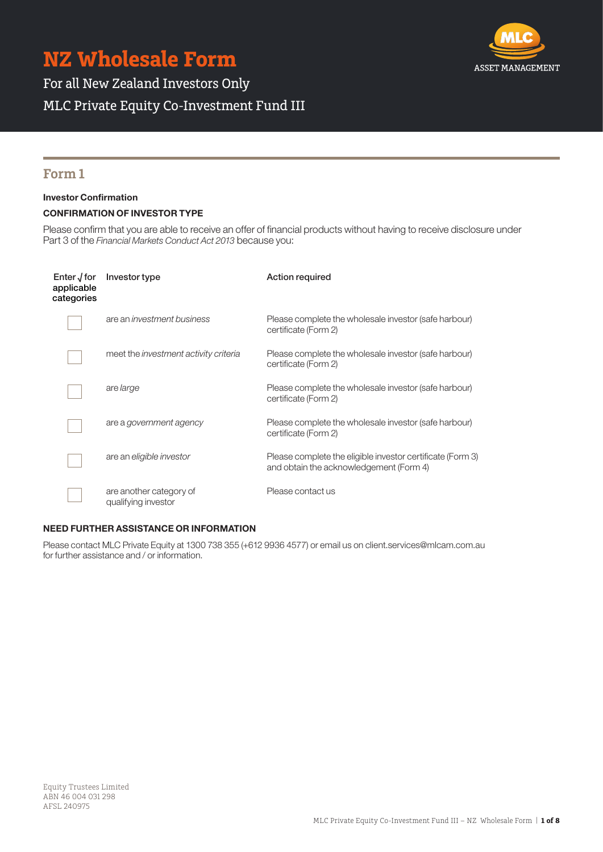# **NZ Wholesale Form**



For all New Zealand Investors Only MLC Private Equity Co-Investment Fund III

### **Form 1**

#### Investor Confirmation

#### CONFIRMATION OF INVESTOR TYPE

Please confirm that you are able to receive an offer of financial products without having to receive disclosure under Part 3 of the *Financial Markets Conduct Act 2013* because you:

| Enter $\sqrt{\ }$ for<br>applicable<br>categories | Investor type                                  | <b>Action required</b>                                                                                |
|---------------------------------------------------|------------------------------------------------|-------------------------------------------------------------------------------------------------------|
|                                                   | are an <i>investment</i> business              | Please complete the wholesale investor (safe harbour)<br>certificate (Form 2)                         |
|                                                   | meet the <i>investment</i> activity criteria   | Please complete the wholesale investor (safe harbour)<br>certificate (Form 2)                         |
|                                                   | are large                                      | Please complete the wholesale investor (safe harbour)<br>certificate (Form 2)                         |
|                                                   | are a government agency                        | Please complete the wholesale investor (safe harbour)<br>certificate (Form 2)                         |
|                                                   | are an eligible investor                       | Please complete the eligible investor certificate (Form 3)<br>and obtain the acknowledgement (Form 4) |
|                                                   | are another category of<br>qualifying investor | Please contact us                                                                                     |

#### NEED FURTHER ASSISTANCE OR INFORMATION

Please contact MLC Private Equity at 1300 738 355 (+612 9936 4577) or email us on [client.services@mlcam.com.au](mailto:client.services%40mlcam.com.au?subject=) for further assistance and / or information.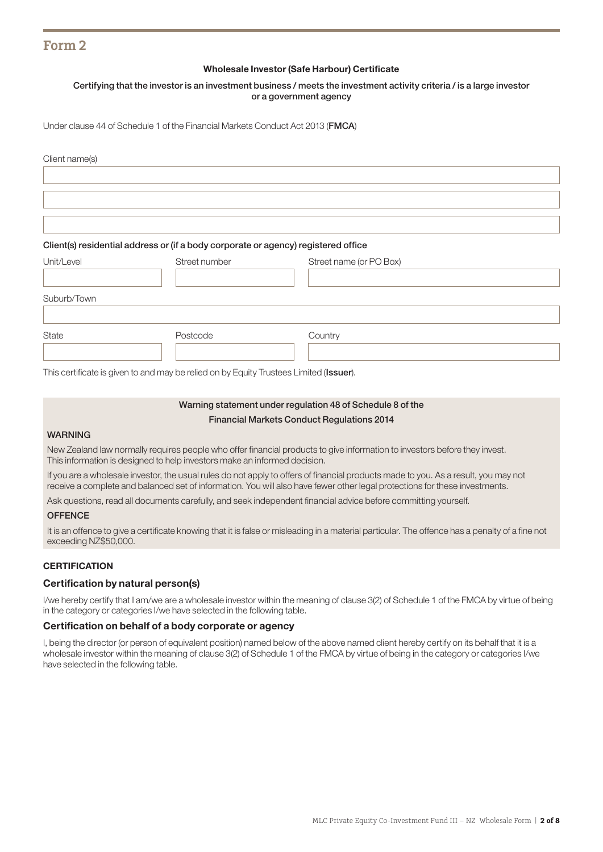# **Form 2**

#### Wholesale Investor (Safe Harbour) Certificate

#### Certifying that the investor is an investment business / meets the investment activity criteria / is a large investor or a government agency

Under clause 44 of Schedule 1 of the Financial Markets Conduct Act 2013 (FMCA)

| Client name(s) |                                                                                    |                         |  |
|----------------|------------------------------------------------------------------------------------|-------------------------|--|
|                | Client(s) residential address or (if a body corporate or agency) registered office |                         |  |
| Unit/Level     | Street number                                                                      | Street name (or PO Box) |  |
| Suburb/Town    |                                                                                    |                         |  |
| State          | Postcode                                                                           | Country                 |  |

This certificate is given to and may be relied on by Equity Trustees Limited (Issuer).

#### Warning statement under regulation 48 of Schedule 8 of the Financial Markets Conduct Regulations 2014

#### WARNING

New Zealand law normally requires people who offer financial products to give information to investors before they invest. This information is designed to help investors make an informed decision.

If you are a wholesale investor, the usual rules do not apply to offers of financial products made to you. As a result, you may not receive a complete and balanced set of information. You will also have fewer other legal protections for these investments.

Ask questions, read all documents carefully, and seek independent financial advice before committing yourself.

#### **OFFENCE**

It is an offence to give a certificate knowing that it is false or misleading in a material particular. The offence has a penalty of a fine not exceeding NZ\$50,000.

#### **CERTIFICATION**

#### Certification by natural person(s)

I/we hereby certify that I am/we are a wholesale investor within the meaning of clause 3(2) of Schedule 1 of the FMCA by virtue of being in the category or categories I/we have selected in the following table.

#### Certification on behalf of a body corporate or agency

I, being the director (or person of equivalent position) named below of the above named client hereby certify on its behalf that it is a wholesale investor within the meaning of clause 3(2) of Schedule 1 of the FMCA by virtue of being in the category or categories I/we have selected in the following table.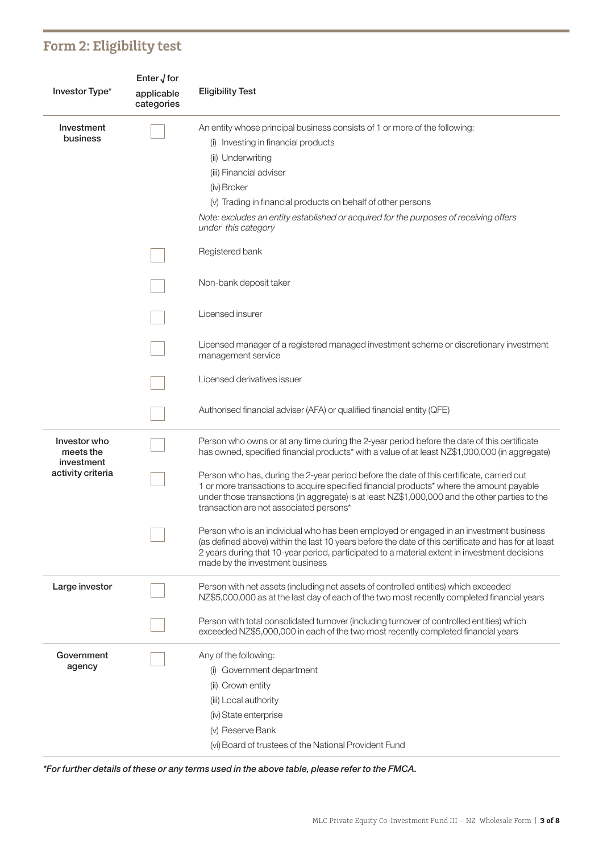# **Form 2: Eligibility test**

|                                         | Enter $\sqrt{6}$         |                                                                                                                                                                                                                                                                                                                                    |
|-----------------------------------------|--------------------------|------------------------------------------------------------------------------------------------------------------------------------------------------------------------------------------------------------------------------------------------------------------------------------------------------------------------------------|
| Investor Type*                          | applicable<br>categories | <b>Eligibility Test</b>                                                                                                                                                                                                                                                                                                            |
| Investment                              |                          | An entity whose principal business consists of 1 or more of the following:                                                                                                                                                                                                                                                         |
| business                                |                          | (i) Investing in financial products                                                                                                                                                                                                                                                                                                |
|                                         |                          | (ii) Underwriting                                                                                                                                                                                                                                                                                                                  |
|                                         |                          | (iii) Financial adviser                                                                                                                                                                                                                                                                                                            |
|                                         |                          | (iv) Broker                                                                                                                                                                                                                                                                                                                        |
|                                         |                          | (v) Trading in financial products on behalf of other persons                                                                                                                                                                                                                                                                       |
|                                         |                          | Note: excludes an entity established or acquired for the purposes of receiving offers<br>under this category                                                                                                                                                                                                                       |
|                                         |                          | Registered bank                                                                                                                                                                                                                                                                                                                    |
|                                         |                          | Non-bank deposit taker                                                                                                                                                                                                                                                                                                             |
|                                         |                          | Licensed insurer                                                                                                                                                                                                                                                                                                                   |
|                                         |                          | Licensed manager of a registered managed investment scheme or discretionary investment<br>management service                                                                                                                                                                                                                       |
|                                         |                          | Licensed derivatives issuer                                                                                                                                                                                                                                                                                                        |
|                                         |                          | Authorised financial adviser (AFA) or qualified financial entity (QFE)                                                                                                                                                                                                                                                             |
| Investor who<br>meets the<br>investment |                          | Person who owns or at any time during the 2-year period before the date of this certificate<br>has owned, specified financial products <sup>*</sup> with a value of at least NZ\$1,000,000 (in aggregate)                                                                                                                          |
| activity criteria                       |                          | Person who has, during the 2-year period before the date of this certificate, carried out<br>1 or more transactions to acquire specified financial products* where the amount payable<br>under those transactions (in aggregate) is at least NZ\$1,000,000 and the other parties to the<br>transaction are not associated persons* |
|                                         |                          | Person who is an individual who has been employed or engaged in an investment business<br>(as defined above) within the last 10 years before the date of this certificate and has for at least<br>2 years during that 10-year period, participated to a material extent in investment decisions<br>made by the investment business |
| Large investor                          |                          | Person with net assets (including net assets of controlled entities) which exceeded<br>NZ\$5,000,000 as at the last day of each of the two most recently completed financial years                                                                                                                                                 |
|                                         |                          | Person with total consolidated turnover (including turnover of controlled entities) which<br>exceeded NZ\$5,000,000 in each of the two most recently completed financial years                                                                                                                                                     |
| Government                              |                          | Any of the following:                                                                                                                                                                                                                                                                                                              |
| agency                                  |                          | (i) Government department                                                                                                                                                                                                                                                                                                          |
|                                         |                          | (ii) Crown entity                                                                                                                                                                                                                                                                                                                  |
|                                         |                          | (iii) Local authority                                                                                                                                                                                                                                                                                                              |
|                                         |                          | (iv) State enterprise                                                                                                                                                                                                                                                                                                              |
|                                         |                          | (v) Reserve Bank                                                                                                                                                                                                                                                                                                                   |
|                                         |                          | (vi) Board of trustees of the National Provident Fund                                                                                                                                                                                                                                                                              |
|                                         |                          |                                                                                                                                                                                                                                                                                                                                    |

*\*For further details of these or any terms used in the above table, please refer to the FMCA.*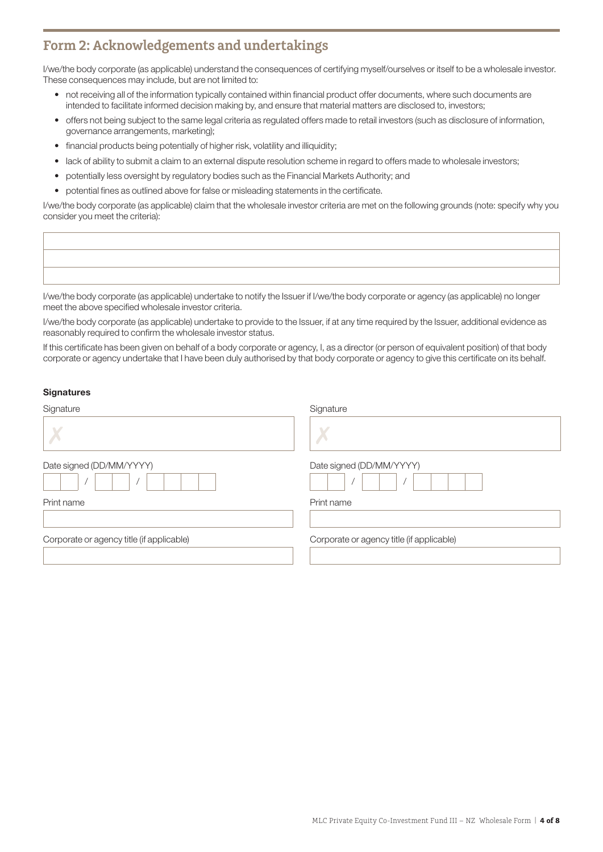# **Form 2: Acknowledgements and undertakings**

I/we/the body corporate (as applicable) understand the consequences of certifying myself/ourselves or itself to be a wholesale investor. These consequences may include, but are not limited to:

- not receiving all of the information typically contained within financial product offer documents, where such documents are intended to facilitate informed decision making by, and ensure that material matters are disclosed to, investors;
- offers not being subject to the same legal criteria as regulated offers made to retail investors (such as disclosure of information, governance arrangements, marketing);
- financial products being potentially of higher risk, volatility and illiquidity;
- lack of ability to submit a claim to an external dispute resolution scheme in regard to offers made to wholesale investors;
- potentially less oversight by regulatory bodies such as the Financial Markets Authority; and
- potential fines as outlined above for false or misleading statements in the certificate.

I/we/the body corporate (as applicable) claim that the wholesale investor criteria are met on the following grounds (note: specify why you consider you meet the criteria):

I/we/the body corporate (as applicable) undertake to notify the Issuer if I/we/the body corporate or agency (as applicable) no longer meet the above specified wholesale investor criteria.

I/we/the body corporate (as applicable) undertake to provide to the Issuer, if at any time required by the Issuer, additional evidence as reasonably required to confirm the wholesale investor status.

If this certificate has been given on behalf of a body corporate or agency, I, as a director (or person of equivalent position) of that body corporate or agency undertake that I have been duly authorised by that body corporate or agency to give this certificate on its behalf.

#### **Signatures**

| Signature                                 | Signature                                 |  |
|-------------------------------------------|-------------------------------------------|--|
|                                           |                                           |  |
| Date signed (DD/MM/YYYY)                  | Date signed (DD/MM/YYYY)                  |  |
|                                           |                                           |  |
| Print name                                | Print name                                |  |
|                                           |                                           |  |
| Corporate or agency title (if applicable) | Corporate or agency title (if applicable) |  |
|                                           |                                           |  |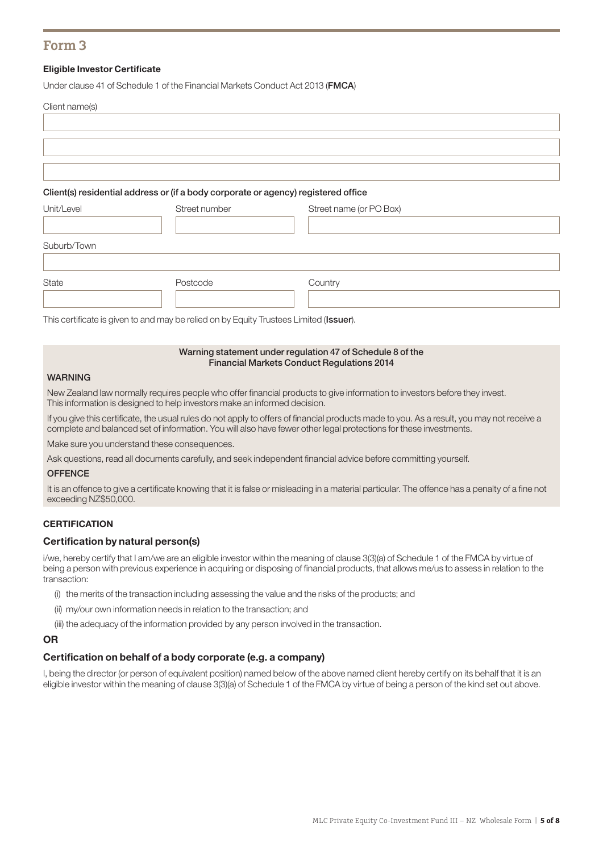## **Form 3**

#### Eligible Investor Certificate

Under clause 41 of Schedule 1 of the Financial Markets Conduct Act 2013 (FMCA)

# Client name(s)

#### Client(s) residential address or (if a body corporate or agency) registered office

| Unit/Level  | Street number | Street name (or PO Box) |
|-------------|---------------|-------------------------|
| Suburb/Town |               |                         |
| State       | Postcode      | Country                 |

This certificate is given to and may be relied on by Equity Trustees Limited (Issuer).

#### Warning statement under regulation 47 of Schedule 8 of the Financial Markets Conduct Regulations 2014

#### WARNING

New Zealand law normally requires people who offer financial products to give information to investors before they invest. This information is designed to help investors make an informed decision.

If you give this certificate, the usual rules do not apply to offers of financial products made to you. As a result, you may not receive a complete and balanced set of information. You will also have fewer other legal protections for these investments.

Make sure you understand these consequences.

Ask questions, read all documents carefully, and seek independent financial advice before committing yourself.

#### **OFFENCE**

It is an offence to give a certificate knowing that it is false or misleading in a material particular. The offence has a penalty of a fine not exceeding NZ\$50,000.

#### **CERTIFICATION**

#### Certification by natural person(s)

i/we, hereby certify that I am/we are an eligible investor within the meaning of clause 3(3)(a) of Schedule 1 of the FMCA by virtue of being a person with previous experience in acquiring or disposing of financial products, that allows me/us to assess in relation to the transaction:

- (i) the merits of the transaction including assessing the value and the risks of the products; and
- (ii) my/our own information needs in relation to the transaction; and
- (iii) the adequacy of the information provided by any person involved in the transaction.

#### OR

#### Certification on behalf of a body corporate (e.g. a company)

I, being the director (or person of equivalent position) named below of the above named client hereby certify on its behalf that it is an eligible investor within the meaning of clause 3(3)(a) of Schedule 1 of the FMCA by virtue of being a person of the kind set out above.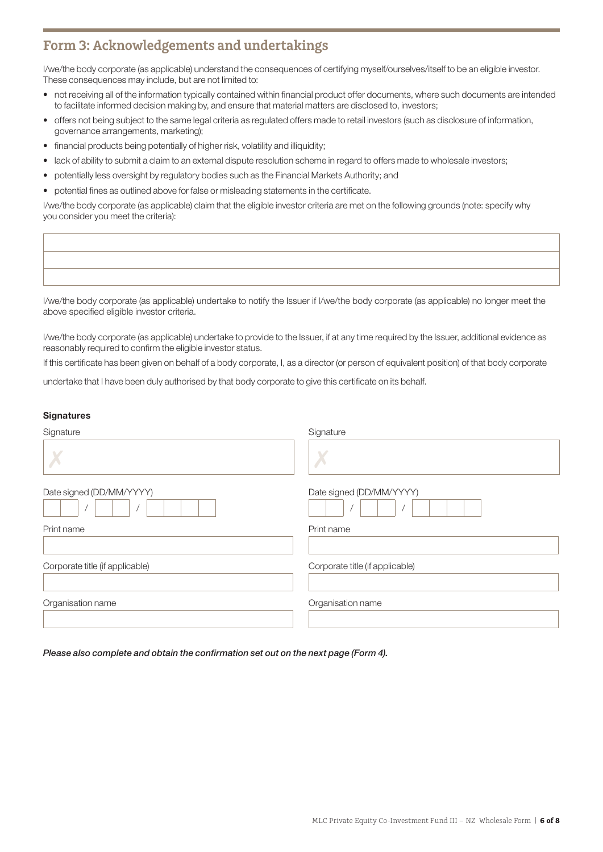# **Form 3: Acknowledgements and undertakings**

I/we/the body corporate (as applicable) understand the consequences of certifying myself/ourselves/itself to be an eligible investor. These consequences may include, but are not limited to:

- not receiving all of the information typically contained within financial product offer documents, where such documents are intended to facilitate informed decision making by, and ensure that material matters are disclosed to, investors;
- offers not being subject to the same legal criteria as regulated offers made to retail investors (such as disclosure of information, governance arrangements, marketing);
- financial products being potentially of higher risk, volatility and illiquidity;
- lack of ability to submit a claim to an external dispute resolution scheme in regard to offers made to wholesale investors;
- potentially less oversight by regulatory bodies such as the Financial Markets Authority; and
- potential fines as outlined above for false or misleading statements in the certificate.

I/we/the body corporate (as applicable) claim that the eligible investor criteria are met on the following grounds (note: specify why you consider you meet the criteria):

I/we/the body corporate (as applicable) undertake to notify the Issuer if I/we/the body corporate (as applicable) no longer meet the above specified eligible investor criteria.

I/we/the body corporate (as applicable) undertake to provide to the Issuer, if at any time required by the Issuer, additional evidence as reasonably required to confirm the eligible investor status.

If this certificate has been given on behalf of a body corporate, I, as a director (or person of equivalent position) of that body corporate

undertake that I have been duly authorised by that body corporate to give this certificate on its behalf.

#### **Signatures**

| Signature                       | Signature                       |
|---------------------------------|---------------------------------|
|                                 | X                               |
| Date signed (DD/MM/YYYY)        | Date signed (DD/MM/YYYY)        |
| Print name                      | Print name                      |
|                                 |                                 |
| Corporate title (if applicable) | Corporate title (if applicable) |
| Organisation name               | Organisation name               |
|                                 |                                 |

*Please also complete and obtain the confirmation set out on the next page (Form 4).*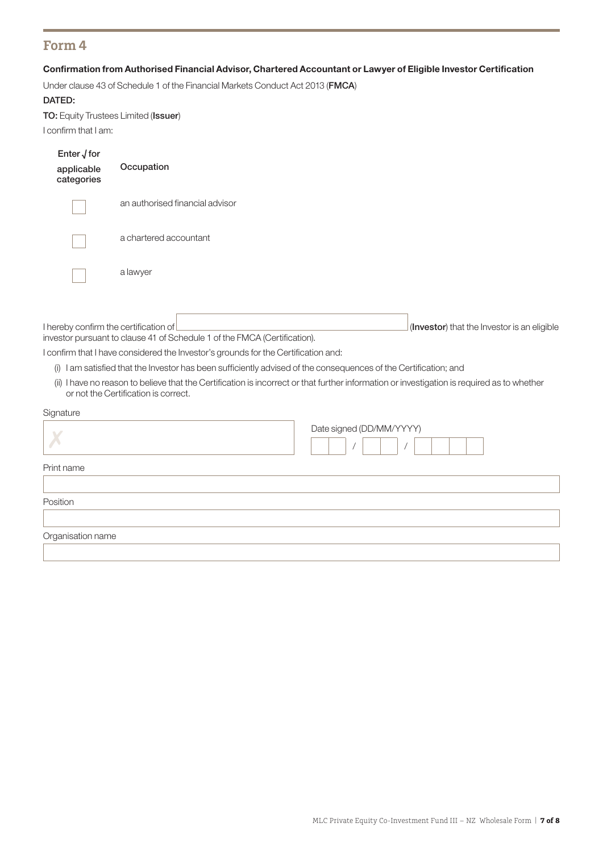## **Form 4**

#### Confirmation from Authorised Financial Advisor, Chartered Accountant or Lawyer of Eligible Investor Certification

Under clause 43 of Schedule 1 of the Financial Markets Conduct Act 2013 (FMCA)

#### DATED:

TO: Equity Trustees Limited (Issuer) I confirm that I am:

| Enter √ for<br>applicable<br>categories | Occupation                                                                                                                                                                          |                          |                                             |
|-----------------------------------------|-------------------------------------------------------------------------------------------------------------------------------------------------------------------------------------|--------------------------|---------------------------------------------|
|                                         | an authorised financial advisor                                                                                                                                                     |                          |                                             |
|                                         | a chartered accountant                                                                                                                                                              |                          |                                             |
|                                         | a lawyer                                                                                                                                                                            |                          |                                             |
| I hereby confirm the certification of   | investor pursuant to clause 41 of Schedule 1 of the FMCA (Certification).                                                                                                           |                          | (Investor) that the Investor is an eligible |
|                                         | I confirm that I have considered the Investor's grounds for the Certification and:                                                                                                  |                          |                                             |
|                                         | (i) I am satisfied that the Investor has been sufficiently advised of the consequences of the Certification; and                                                                    |                          |                                             |
|                                         | (ii) I have no reason to believe that the Certification is incorrect or that further information or investigation is required as to whether<br>or not the Certification is correct. |                          |                                             |
| Signature                               |                                                                                                                                                                                     |                          |                                             |
|                                         |                                                                                                                                                                                     | Date signed (DD/MM/YYYY) |                                             |
| Print name                              |                                                                                                                                                                                     |                          |                                             |
|                                         |                                                                                                                                                                                     |                          |                                             |
| Position                                |                                                                                                                                                                                     |                          |                                             |
| Organisation name                       |                                                                                                                                                                                     |                          |                                             |